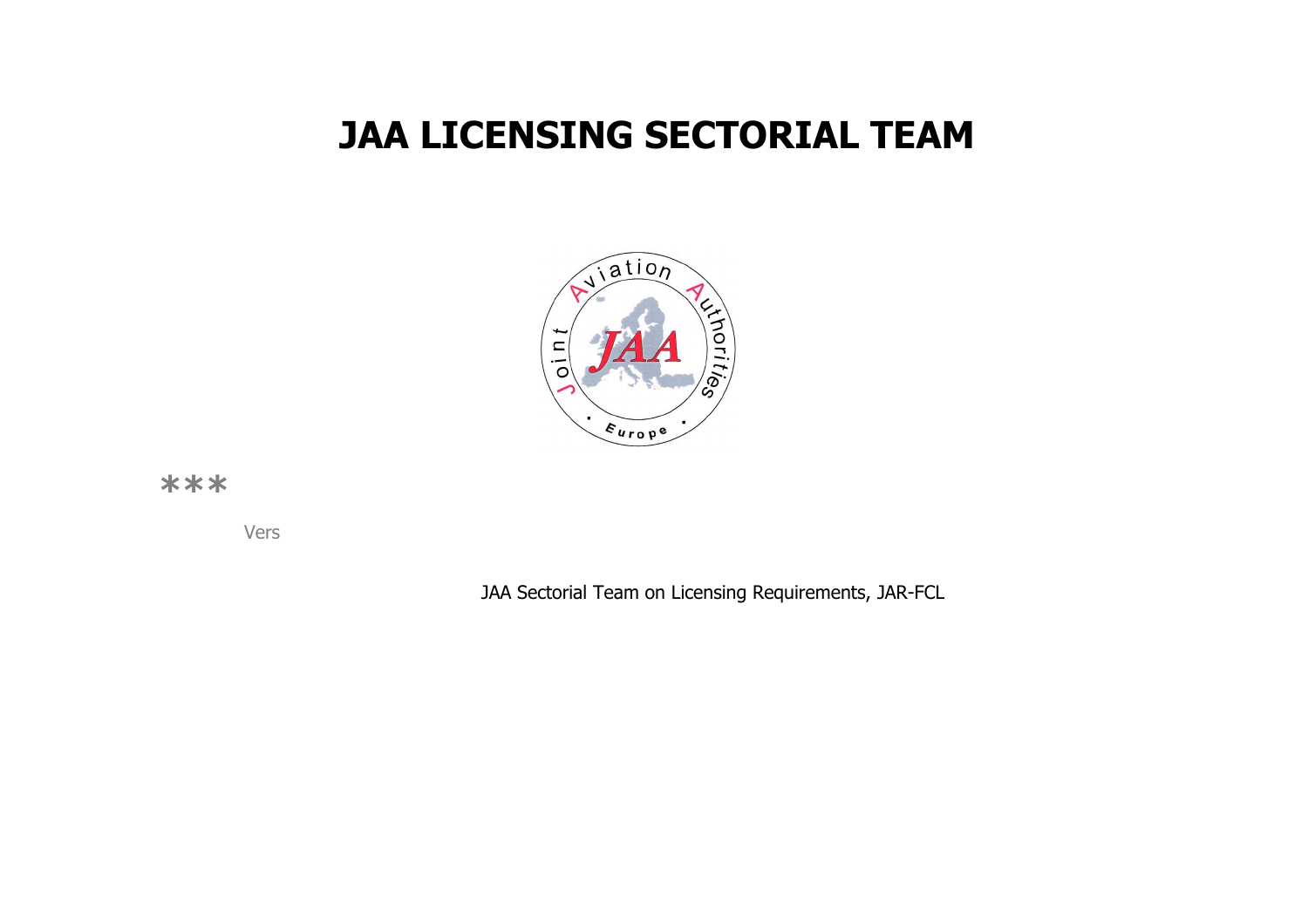# **JAA LICENSING SECTORIAL TEAM**



### **\*\*\***

Vers

JAA Sectorial Team on Licensing Requirements, JAR-FCL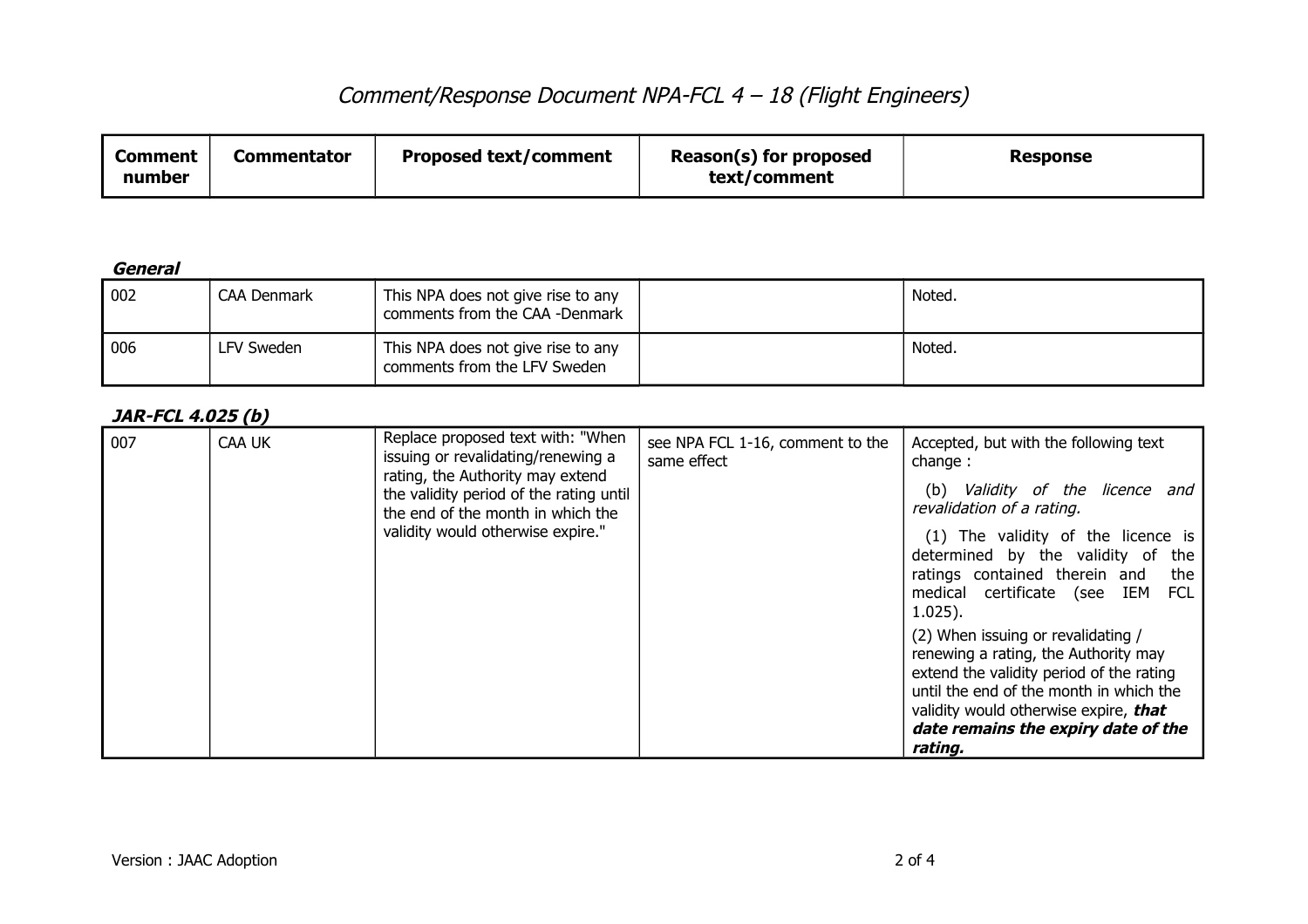### Comment/Response Document NPA-FCL 4 – 18 (Flight Engineers)

| <b>Proposed text/comment</b><br><b>Commentator</b><br><b>Comment</b><br>number | Reason(s) for proposed<br>text/comment | <b>Response</b> |
|--------------------------------------------------------------------------------|----------------------------------------|-----------------|
|--------------------------------------------------------------------------------|----------------------------------------|-----------------|

#### **General**

| $\mid$ 002 | <b>CAA Denmark</b> | This NPA does not give rise to any<br>comments from the CAA -Denmark | Noted. |
|------------|--------------------|----------------------------------------------------------------------|--------|
| 006        | LFV Sweden         | This NPA does not give rise to any<br>comments from the LFV Sweden   | Noted. |

### **JAR-FCL 4.025 (b)**

| 007 | CAA UK | Replace proposed text with: "When<br>issuing or revalidating/renewing a<br>rating, the Authority may extend | see NPA FCL 1-16, comment to the<br>same effect | Accepted, but with the following text<br>change:                                                                                                                                                                                                  |
|-----|--------|-------------------------------------------------------------------------------------------------------------|-------------------------------------------------|---------------------------------------------------------------------------------------------------------------------------------------------------------------------------------------------------------------------------------------------------|
|     |        | the validity period of the rating until<br>the end of the month in which the                                |                                                 | Validity of the licence and<br>(b)<br>revalidation of a rating.                                                                                                                                                                                   |
|     |        | validity would otherwise expire."                                                                           |                                                 | $(1)$ The validity of the licence is<br>determined by the validity of the<br>ratings contained therein and<br>the<br>medical certificate (see IEM FCL<br>$1.025$ ).                                                                               |
|     |        |                                                                                                             |                                                 | (2) When issuing or revalidating /<br>renewing a rating, the Authority may<br>extend the validity period of the rating<br>until the end of the month in which the<br>validity would otherwise expire, that<br>date remains the expiry date of the |
|     |        |                                                                                                             |                                                 | rating.                                                                                                                                                                                                                                           |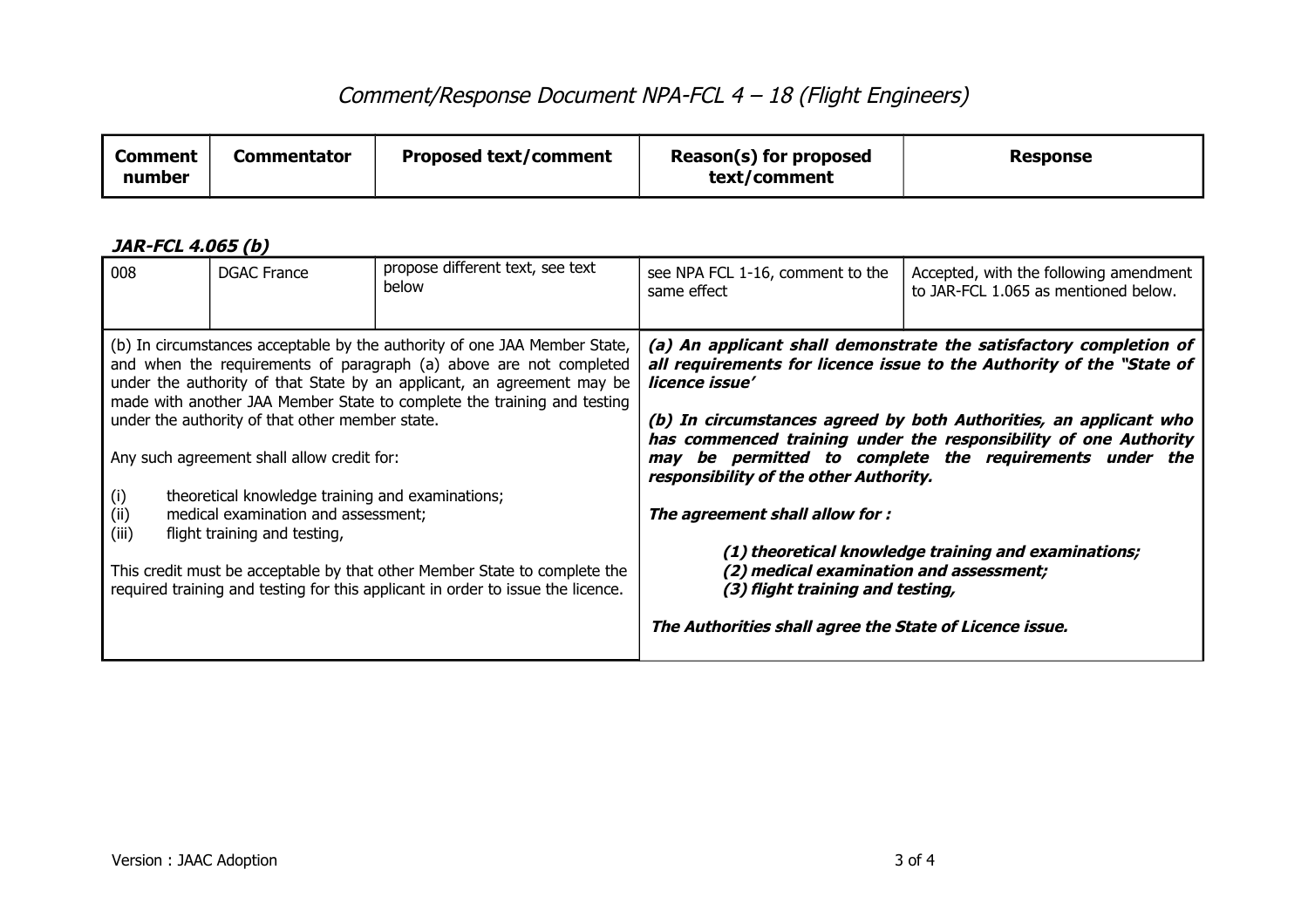## Comment/Response Document NPA-FCL 4 – 18 (Flight Engineers)

| <b>Commentator</b><br><b>Comment</b><br>number | <b>Proposed text/comment</b> | Reason(s) for proposed<br>text/comment | <b>Response</b> |
|------------------------------------------------|------------------------------|----------------------------------------|-----------------|
|------------------------------------------------|------------------------------|----------------------------------------|-----------------|

### **JAR-FCL 4.065 (b)**

| 008                  | <b>DGAC France</b>                                                                                                                                                                                                       | propose different text, see text<br>below                                                                                                                                                                                                                                                                                                                                                                                                                            | see NPA FCL 1-16, comment to the<br>same effect                                                                                                                                                                                       | Accepted, with the following amendment<br>to JAR-FCL 1.065 as mentioned below.                                                                                                                                                                                                                                                                                                                        |
|----------------------|--------------------------------------------------------------------------------------------------------------------------------------------------------------------------------------------------------------------------|----------------------------------------------------------------------------------------------------------------------------------------------------------------------------------------------------------------------------------------------------------------------------------------------------------------------------------------------------------------------------------------------------------------------------------------------------------------------|---------------------------------------------------------------------------------------------------------------------------------------------------------------------------------------------------------------------------------------|-------------------------------------------------------------------------------------------------------------------------------------------------------------------------------------------------------------------------------------------------------------------------------------------------------------------------------------------------------------------------------------------------------|
| (i)<br>(ii)<br>(iii) | under the authority of that other member state.<br>Any such agreement shall allow credit for:<br>theoretical knowledge training and examinations;<br>medical examination and assessment;<br>flight training and testing, | (b) In circumstances acceptable by the authority of one JAA Member State,<br>and when the requirements of paragraph (a) above are not completed<br>under the authority of that State by an applicant, an agreement may be<br>made with another JAA Member State to complete the training and testing<br>This credit must be acceptable by that other Member State to complete the<br>required training and testing for this applicant in order to issue the licence. | licence issue'<br>responsibility of the other Authority.<br>The agreement shall allow for :<br>(2) medical examination and assessment;<br>(3) flight training and testing,<br>The Authorities shall agree the State of Licence issue. | (a) An applicant shall demonstrate the satisfactory completion of<br>all requirements for licence issue to the Authority of the "State of<br>(b) In circumstances agreed by both Authorities, an applicant who<br>has commenced training under the responsibility of one Authority<br>may be permitted to complete the requirements under the<br>(1) theoretical knowledge training and examinations; |